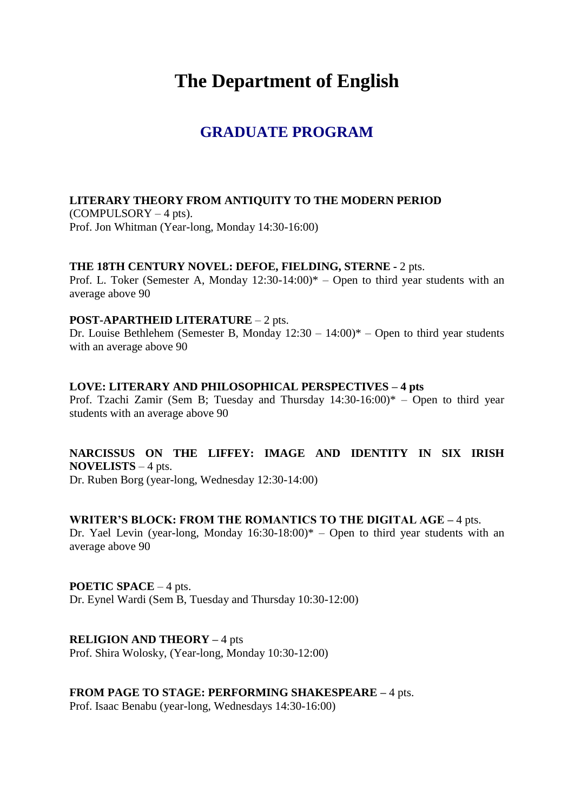# **The Department of English**

# **GRADUATE PROGRAM**

#### **LITERARY THEORY FROM ANTIQUITY TO THE MODERN PERIOD** (COMPULSORY – 4 pts).

Prof. Jon Whitman (Year-long, Monday 14:30-16:00)

#### **THE 18TH CENTURY NOVEL: DEFOE, FIELDING, STERNE -** 2 pts.

Prof. L. Toker (Semester A, Monday  $12:30-14:00$ )\* – Open to third year students with an average above 90

#### **POST-APARTHEID LITERATURE** – 2 pts.

Dr. Louise Bethlehem (Semester B. Monday  $12:30 - 14:00$ )\* – Open to third year students with an average above 90

#### **LOVE: LITERARY AND PHILOSOPHICAL PERSPECTIVES – 4 pts**

Prof. Tzachi Zamir (Sem B; Tuesday and Thursday 14:30-16:00)\* – Open to third year students with an average above 90

### **NARCISSUS ON THE LIFFEY: IMAGE AND IDENTITY IN SIX IRISH NOVELISTS** – 4 pts.

Dr. Ruben Borg (year-long, Wednesday 12:30-14:00)

#### **WRITER'S BLOCK: FROM THE ROMANTICS TO THE DIGITAL AGE –** 4 pts.

Dr. Yael Levin (year-long, Monday  $16:30-18:00$ )\* – Open to third year students with an average above 90

#### **POETIC SPACE** – 4 pts.

Dr. Eynel Wardi (Sem B, Tuesday and Thursday 10:30-12:00)

#### **RELIGION AND THEORY –** 4 pts

Prof. Shira Wolosky, (Year-long, Monday 10:30-12:00)

#### **FROM PAGE TO STAGE: PERFORMING SHAKESPEARE –** 4 pts.

Prof. Isaac Benabu (year-long, Wednesdays 14:30-16:00)